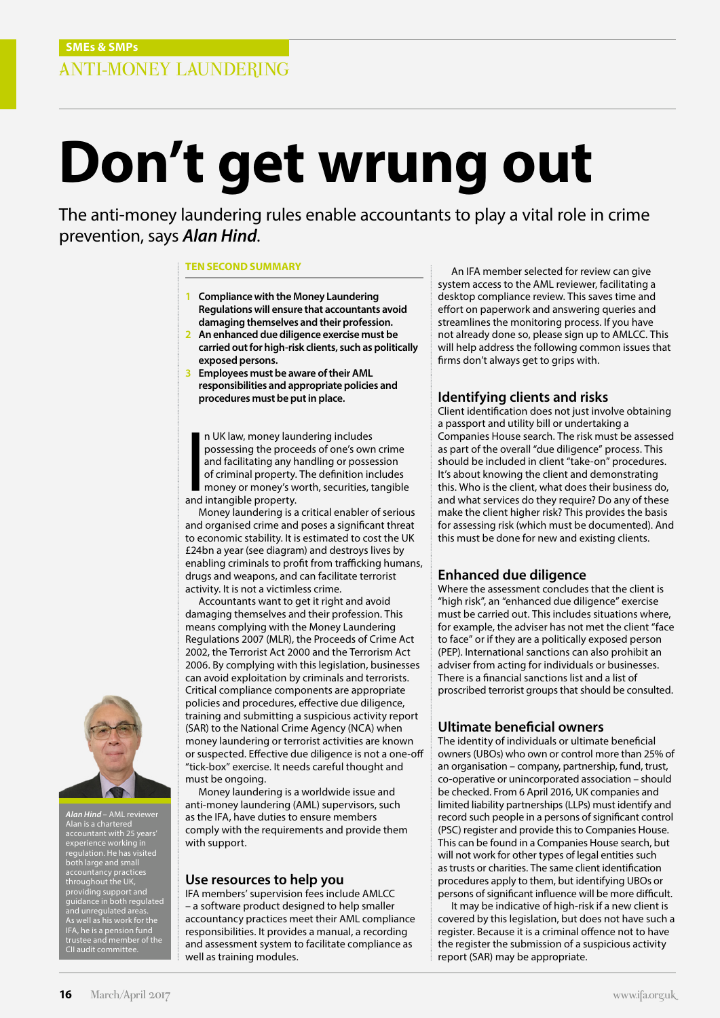# **Don't get wrung out**

The anti-money laundering rules enable accountants to play a vital role in crime prevention, says *Alan Hind*.

#### **TEN SECOND SUMMARY**

- **1 Compliance with the Money Laundering Regulations will ensure that accountants avoid damaging themselves and their profession.**
- **2 An enhanced due diligence exercise must be carried out for high-risk clients, such as politically exposed persons.**
- **3 Employees must be aware of their AML responsibilities and appropriate policies and procedures must be put in place.**

n UK law, money lau<br>possessing the proce<br>and facilitating any l<br>of criminal property.<br>money or money's w<br>and intangible property. n UK law, money laundering includes possessing the proceeds of one's own crime and facilitating any handling or possession of criminal property. The definition includes money or money's worth, securities, tangible

Money laundering is a critical enabler of serious and organised crime and poses a significant threat to economic stability. It is estimated to cost the UK £24bn a year (see diagram) and destroys lives by enabling criminals to profit from trafficking humans, drugs and weapons, and can facilitate terrorist activity. It is not a victimless crime.

Accountants want to get it right and avoid damaging themselves and their profession. This means complying with the Money Laundering Regulations 2007 (MLR), the Proceeds of Crime Act 2002, the Terrorist Act 2000 and the Terrorism Act 2006. By complying with this legislation, businesses can avoid exploitation by criminals and terrorists. Critical compliance components are appropriate policies and procedures, effective due diligence, training and submitting a suspicious activity report (SAR) to the National Crime Agency (NCA) when money laundering or terrorist activities are known or suspected. Effective due diligence is not a one-off "tick-box" exercise. It needs careful thought and must be ongoing.

Money laundering is a worldwide issue and anti-money laundering (AML) supervisors, such as the IFA, have duties to ensure members comply with the requirements and provide them with support.

#### **Use resources to help you**

IFA members' supervision fees include AMLCC – a software product designed to help smaller accountancy practices meet their AML compliance responsibilities. It provides a manual, a recording and assessment system to facilitate compliance as well as training modules.

An IFA member selected for review can give system access to the AML reviewer, facilitating a desktop compliance review. This saves time and effort on paperwork and answering queries and streamlines the monitoring process. If you have not already done so, please sign up to AMLCC. This will help address the following common issues that firms don't always get to grips with.

### **Identifying clients and risks**

Client identification does not just involve obtaining a passport and utility bill or undertaking a Companies House search. The risk must be assessed as part of the overall "due diligence" process. This should be included in client "take-on" procedures. It's about knowing the client and demonstrating this. Who is the client, what does their business do, and what services do they require? Do any of these make the client higher risk? This provides the basis for assessing risk (which must be documented). And this must be done for new and existing clients.

#### **Enhanced due diligence**

Where the assessment concludes that the client is "high risk", an "enhanced due diligence" exercise must be carried out. This includes situations where, for example, the adviser has not met the client "face to face" or if they are a politically exposed person (PEP). International sanctions can also prohibit an adviser from acting for individuals or businesses. There is a financial sanctions list and a list of proscribed terrorist groups that should be consulted.

#### **Ultimate beneficial owners**

The identity of individuals or ultimate beneficial owners (UBOs) who own or control more than 25% of an organisation – company, partnership, fund, trust, co-operative or unincorporated association – should be checked. From 6 April 2016, UK companies and limited liability partnerships (LLPs) must identify and record such people in a persons of significant control (PSC) register and provide this to Companies House. This can be found in a Companies House search, but will not work for other types of legal entities such as trusts or charities. The same client identification procedures apply to them, but identifying UBOs or persons of significant influence will be more difficult.

It may be indicative of high-risk if a new client is covered by this legislation, but does not have such a register. Because it is a criminal offence not to have the register the submission of a suspicious activity report (SAR) may be appropriate.



*Alan Hind* – AML reviewer Alan is a chartered accountant with 25 years' experience working in regulation. He has visited both large and small accountancy practices throughout the UK, providing support and guidance in both regulated and unregulated areas. As well as his work for the IFA, he is a pension fund trustee and member of the CII audit committee.